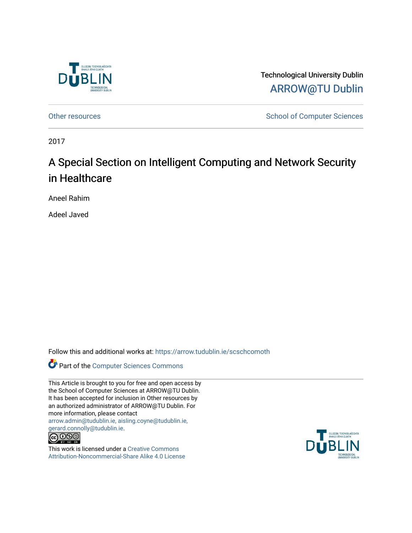

Technological University Dublin [ARROW@TU Dublin](https://arrow.tudublin.ie/) 

[Other resources](https://arrow.tudublin.ie/scschcomoth) and the state of Computer Sciences School of Computer Sciences

2017

## A Special Section on Intelligent Computing and Network Security in Healthcare

Aneel Rahim

Adeel Javed

Follow this and additional works at: [https://arrow.tudublin.ie/scschcomoth](https://arrow.tudublin.ie/scschcomoth?utm_source=arrow.tudublin.ie%2Fscschcomoth%2F21&utm_medium=PDF&utm_campaign=PDFCoverPages)



This Article is brought to you for free and open access by the School of Computer Sciences at ARROW@TU Dublin. It has been accepted for inclusion in Other resources by an authorized administrator of ARROW@TU Dublin. For more information, please contact [arrow.admin@tudublin.ie, aisling.coyne@tudublin.ie,](mailto:arrow.admin@tudublin.ie,%20aisling.coyne@tudublin.ie,%20gerard.connolly@tudublin.ie)  [gerard.connolly@tudublin.ie](mailto:arrow.admin@tudublin.ie,%20aisling.coyne@tudublin.ie,%20gerard.connolly@tudublin.ie).



This work is licensed under a [Creative Commons](http://creativecommons.org/licenses/by-nc-sa/4.0/) [Attribution-Noncommercial-Share Alike 4.0 License](http://creativecommons.org/licenses/by-nc-sa/4.0/)

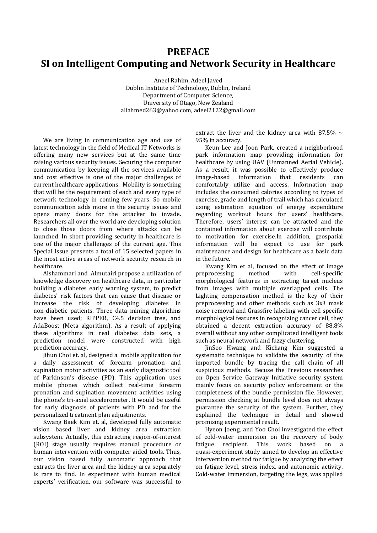## **PREFACE SI on Intelligent Computing and Network Security in Healthcare**

Aneel Rahim, Adeel Javed Dublin Institute of Technology, Dublin, Ireland Department of Computer Science, University of Otago, New Zealand aliahmed263@yahoo.com, adeel2122@gmail.com

We are living in communication age and use of latest technology in the field of Medical IT Networks is offering many new services but at the same time raising various security issues. Securing the computer communication by keeping all the services available and cost effective is one of the major challenges of current healthcare applications. Mobility is something that will be the requirement of each and every type of network technology in coming few years. So mobile communication adds more in the security issues and opens many doors for the attacker to invade. Researchers all over the world are developing solution to close those doors from where attacks can be launched. In short providing security in healthcare is one of the major challenges of the current age. This Special Issue presents a total of 15 selected papers in the most active areas of network security research in healthcare.

Alshammari and Almutairi propose a utilization of knowledge discovery on healthcare data, in particular building a diabetes early warning system, to predict diabetes' risk factors that can cause that disease or increase the risk of developing diabetes in non-diabetic patients. Three data mining algorithms have been used; RIPPER, C4.5 decision tree, and AdaBoost (Meta algorithm). As a result of applying these algorithms in real diabetes data sets, a prediction model were constructed with high prediction accuracy.

Jihun Choi et. al, designed a mobile application for a daily assessment of forearm pronation and supination motor activities as an early diagnostic tool of Parkinson's disease (PD). This application uses mobile phones which collect real-time forearm pronation and supination movement activities using the phone's tri-axial accelerometer. It would be useful for early diagnosis of patients with PD and for the personalized treatment plan adjustments.

Kwang Baek Kim et. al, developed fully automatic vision based liver and kidney area extraction subsystem. Actually, this extracting region-of-interest (ROI) stage usually requires manual procedure or human intervention with computer aided tools. Thus, our vision based fully automatic approach that extracts the liver area and the kidney area separately is rare to find. In experiment with human medical experts' verification, our software was successful to

extract the liver and the kidney area with 87.5%  $\sim$ 95% in accuracy.

Keun Lee and Joon Park, created a neighborhood park information map providing information for healthcare by using UAV (Unmanned Aerial Vehicle). As a result, it was possible to effectively produce image-based information that residents can comfortably utilize and access. Information map includes the consumed calories according to types of exercise, grade and length of trail which has calculated using estimation equation of energy expenditure regarding workout hours for users' healthcare. Therefore, users' interest can be attracted and the contained information about exercise will contribute to motivation for exercise.In addition, geospatial information will be expect to use for park maintenance and design for healthcare as a basic data in the future.

Kwang Kim et al, focused on the effect of image preprocessing method with cell-specific morphological features in extracting target nucleus from images with multiple overlapped cells. The Lighting compensation method is the key of their preprocessing and other methods such as 3x3 mask noise removal and Grassfire labeling with cell specific morphological features in recognizing cancer cell, they obtained a decent extraction accuracy of 88.8% overall without any other complicated intelligent tools such as neural network and fuzzy clustering.

JinSoo Hwang and Kichang Kim suggested a systematic technique to validate the security of the imported bundle by tracing the call chain of all suspicious methods. Becuse the Previous researches on Open Service Gateway Initiative security system mainly focus on security policy enforcement or the completeness of the bundle permission file. However, permission checking at bundle level does not always guarantee the security of the system. Further, they explained the technique in detail and showed promising experimental result.

Hyeon Joeng, and Yoo Choi investigated the effect of cold-water immersion on the recovery of body fatigue recipient. This work based on a quasi-experiment study aimed to develop an effective intervention method for fatigue by analyzing the effect on fatigue level, stress index, and autonomic activity. Cold-water immersion, targeting the legs, was applied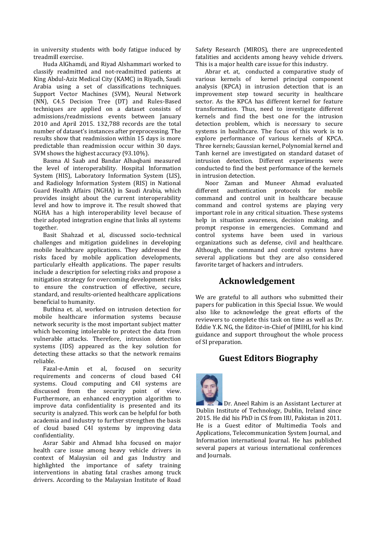in university students with body fatigue induced by treadmill exercise.

Huda AlGhamdi, and Riyad Alshammari worked to classify readmitted and not-readmitted patients at King Abdul-Aziz Medical City (KAMC) in Riyadh, Saudi Arabia using a set of classifications techniques. Support Vector Machines (SVM), Neural Network (NN), C4.5 Decision Tree (DT) and Rules-Based techniques are applied on a dataset consists of admissions/readmissions events between January 2010 and April 2015. 132,788 records are the total number of dataset's instances after preprocessing. The results show that readmission within 15 days is more predictable than readmission occur within 30 days. SVM shows the highest accuracy (93.10%).

Basma Al Saab and Bandar Alhaqbani measured the level of interoperability. Hospital Information System (HIS), Laboratory Information System (LIS), and Radiology Information System (RIS) in National Guard Health Affairs (NGHA) in Saudi Arabia, which provides insight about the current interoperability level and how to improve it. The result showed that NGHA has a high interoperability level because of their adopted integration engine that links all systems together.

Basit Shahzad et al, discussed socio-technical challenges and mitigation guidelines in developing mobile healthcare applications. They addressed the risks faced by mobile application developments, particularly eHealth applications. The paper results include a description for selecting risks and propose a mitigation strategy for overcoming development risks to ensure the construction of effective, secure, standard, and results-oriented healthcare applications beneficial to humanity.

Buthina et. al, worked on intrusion detection for mobile healthcare information systems because network security is the most important subject matter which becoming intolerable to protect the data from vulnerable attacks. Therefore, intrusion detection systems (IDS) appeared as the key solution for detecting these attacks so that the network remains reliable.

Fazal-e-Amin et al, focused on security requirements and concerns of cloud based C4I systems. Cloud computing and C4I systems are discussed from the security point of view. Furthermore, an enhanced encryption algorithm to improve data confidentiality is presented and its security is analyzed. This work can be helpful for both academia and industry to further strengthen the basis of cloud based C4I systems by improving data confidentiality.

Asrar Sabir and Ahmad Isha focused on major health care issue among heavy vehicle drivers in context of Malaysian oil and gas Industry and highlighted the importance of safety training interventions in abating fatal crashes among truck drivers. According to the Malaysian Institute of Road

Safety Research (MIROS), there are unprecedented fatalities and accidents among heavy vehicle drivers. This is a major health care issue for this industry.

Abrar et. at, conducted a comparative study of various kernels of kernel principal component analysis (KPCA) in intrusion detection that is an improvement step toward security in healthcare sector. As the KPCA has different kernel for feature transformation. Thus, need to investigate different kernels and find the best one for the intrusion detection problem, which is necessary to secure systems in healthcare. The focus of this work is to explore performance of various kernels of KPCA. Three kernels; Gaussian kernel, Polynomial kernel and Tanh kernel are investigated on standard dataset of intrusion detection. Different experiments were conducted to find the best performance of the kernels in intrusion detection.

Noor Zaman and Muneer Ahmad evaluated different authentication protocols for mobile command and control unit in healthcare because command and control systems are playing very important role in any critical situation. These systems help in situation awareness, decision making, and prompt response in emergencies. Command and control systems have been used in various organizations such as defense, civil and healthcare. Although, the command and control systems have several applications but they are also considered favorite target of hackers and intruders.

## **Acknowledgement**

We are grateful to all authors who submitted their papers for publication in this Special Issue. We would also like to acknowledge the great efforts of the reviewers to complete this task on time as well as Dr. Eddie Y.K. NG, the Editor-in-Chief of JMIHI, for his kind guidance and support throughout the whole process of SI preparation.

## **Guest Editors Biography**



Dr. Aneel Rahim is an Assistant Lecturer at Dublin Institute of Technology, Dublin, Ireland since 2015. He did his PhD in CS from IIU, Pakistan in 2011. He is a Guest editor of Multimedia Tools and Applications, Telecommunication System Journal, and Information international Journal. He has published several papers at various international conferences and Journals.